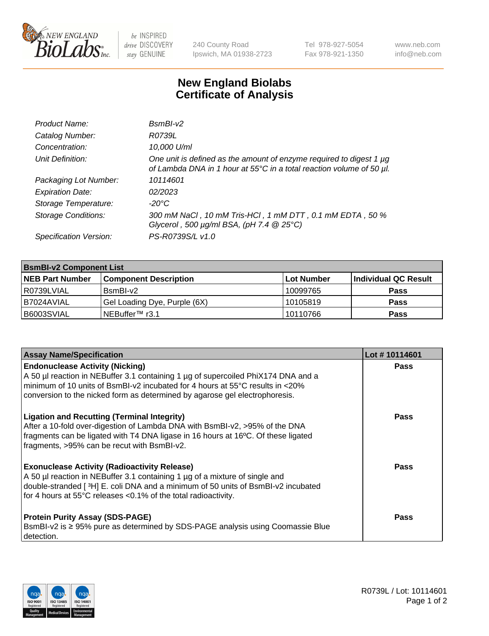

 $be$  INSPIRED drive DISCOVERY stay GENUINE

240 County Road Ipswich, MA 01938-2723 Tel 978-927-5054 Fax 978-921-1350 www.neb.com info@neb.com

## **New England Biolabs Certificate of Analysis**

| Product Name:              | $BsmBI-v2$                                                                                                                                  |
|----------------------------|---------------------------------------------------------------------------------------------------------------------------------------------|
| Catalog Number:            | R0739L                                                                                                                                      |
| Concentration:             | 10,000 U/ml                                                                                                                                 |
| Unit Definition:           | One unit is defined as the amount of enzyme required to digest 1 µg<br>of Lambda DNA in 1 hour at 55°C in a total reaction volume of 50 µl. |
| Packaging Lot Number:      | 10114601                                                                                                                                    |
| <b>Expiration Date:</b>    | 02/2023                                                                                                                                     |
| Storage Temperature:       | $-20^{\circ}$ C                                                                                                                             |
| <b>Storage Conditions:</b> | 300 mM NaCl, 10 mM Tris-HCl, 1 mM DTT, 0.1 mM EDTA, 50 %<br>Glycerol, 500 $\mu$ g/ml BSA, (pH 7.4 $@25°C$ )                                 |
| Specification Version:     | PS-R0739S/L v1.0                                                                                                                            |

| <b>BsmBI-v2 Component List</b> |                              |                   |                      |  |  |
|--------------------------------|------------------------------|-------------------|----------------------|--|--|
| <b>NEB Part Number</b>         | <b>Component Description</b> | <b>Lot Number</b> | Individual QC Result |  |  |
| R0739LVIAL                     | BsmBI-v2                     | 10099765          | <b>Pass</b>          |  |  |
| B7024AVIAL                     | Gel Loading Dye, Purple (6X) | 10105819          | <b>Pass</b>          |  |  |
| B6003SVIAL                     | INEBuffer™ r3.1              | 10110766          | <b>Pass</b>          |  |  |

| <b>Assay Name/Specification</b>                                                                                                                                                                                                                                                                       | Lot #10114601 |
|-------------------------------------------------------------------------------------------------------------------------------------------------------------------------------------------------------------------------------------------------------------------------------------------------------|---------------|
| <b>Endonuclease Activity (Nicking)</b><br>A 50 µl reaction in NEBuffer 3.1 containing 1 µg of supercoiled PhiX174 DNA and a<br>minimum of 10 units of BsmBI-v2 incubated for 4 hours at 55 $\degree$ C results in <20%<br>conversion to the nicked form as determined by agarose gel electrophoresis. | <b>Pass</b>   |
| <b>Ligation and Recutting (Terminal Integrity)</b><br>After a 10-fold over-digestion of Lambda DNA with BsmBI-v2, >95% of the DNA<br>fragments can be ligated with T4 DNA ligase in 16 hours at 16°C. Of these ligated<br>fragments, >95% can be recut with BsmBI-v2.                                 | <b>Pass</b>   |
| <b>Exonuclease Activity (Radioactivity Release)</b><br>A 50 µl reaction in NEBuffer 3.1 containing 1 µg of a mixture of single and<br>double-stranded [3H] E. coli DNA and a minimum of 50 units of BsmBI-v2 incubated<br>for 4 hours at 55°C releases <0.1% of the total radioactivity.              | Pass          |
| <b>Protein Purity Assay (SDS-PAGE)</b><br>BsmBI-v2 is ≥ 95% pure as determined by SDS-PAGE analysis using Coomassie Blue<br>detection.                                                                                                                                                                | <b>Pass</b>   |